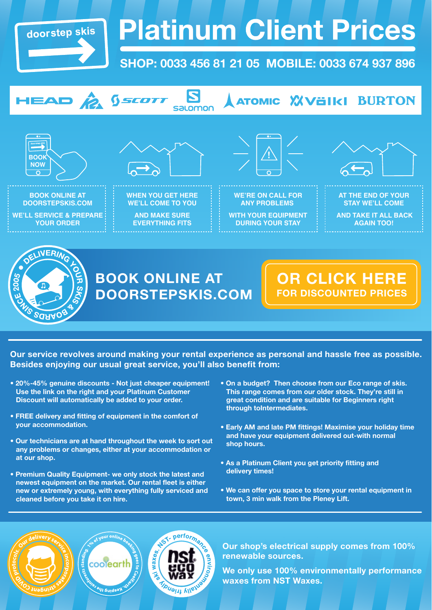

# **Platinum Client Prices**

## **SHOP: 0033 456 81 21 05 MOBILE: 0033 674 937 896**



**Our service revolves around making your rental experience as personal and hassle free as possible. Besides enjoying our usual great service, you'll also benefit from:**

ST- performan

*TIDUOIAL AVEN* 

waxes

- **� 20%-45% genuine discounts Not just cheaper equipment! Use the link on the right and your Platinum Customer Discount will automatically be added to your order.**
- **� FREE delivery and fitting of equipment in the comfort of your accommodation.**
- **� Our technicians are at hand throughout the week to sort out any problems or changes, either at your accommodation or at our shop.**
- **� Premium Quality Equipment- we only stock the latest and newest equipment on the market. Our rental fleet is either new or extremely young, with everything fully serviced and cleaned before you take it on hire.**

coolearth

**Neeping the** 

- **� On a budget? Then choose from our Eco range of skis. This range comes from our older stock. They're still in great condition and are suitable for Beginners right through toIntermediates.**
- **� Early AM and late PM fittings! Maximise your holiday time and have your equipment delivered out-with normal shop hours.**
- **� As a Platinum Client you get priority fitting and delivery times!**
- **� We can offer you space to store your rental equipment in town, 3 min walk from the Pleney Lift.**



**We only use 100% environmentally performance waxes from NST Waxes.**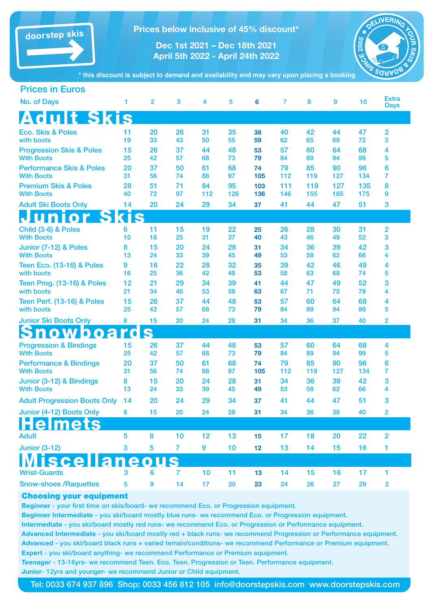doorstep skis

**Prices below inclusive of 45% discount\***

**Dec 1st 2021 – Dec 18th 2021 April 5th 2022 - April 24th 2022**



**\* this discount is subject to demand and availability and may vary upon placing a booking**

| <b>Prices in Euros</b>                                   |          |                |                |          |          |           |           |           |           |           |                             |
|----------------------------------------------------------|----------|----------------|----------------|----------|----------|-----------|-----------|-----------|-----------|-----------|-----------------------------|
| <b>No. of Days</b>                                       | 1        | $\overline{2}$ | 3              | 4        | 5        | 6         | 7         | 8         | 9         | 10        | <b>Extra</b><br><b>Days</b> |
| <b>Adult Skis</b>                                        |          |                |                |          |          |           |           |           |           |           |                             |
| <b>Eco. Skis &amp; Poles</b>                             | 11       | 20             | 26             | 31       | 35       | 38        | 40        | 42        | 44        | 47        | $\overline{2}$              |
| with boots                                               | 19       | 33             | 43             | 50       | 55       | 59        | 62        | 65        | 69        | 72        | 3                           |
| <b>Progression Skis &amp; Poles</b><br><b>With Boots</b> | 15<br>25 | 26<br>42       | 37<br>57       | 44<br>68 | 48<br>73 | 53<br>79  | 57<br>84  | 60<br>89  | 64<br>94  | 68<br>99  | 4<br>5                      |
| <b>Performance Skis &amp; Poles</b>                      | 20       | 37             | 50             | 61       | 68       | 74        | 79        | 85        | 90        | 96        | 6                           |
| <b>With Boots</b>                                        | 31       | 56             | 74             | 88       | 97       | 105       | 112       | 119       | 127       | 134       | 7                           |
| <b>Premium Skis &amp; Poles</b>                          | 28       | 51             | 71             | 84       | 95       | 103       | 111       | 119       | 127       | 135       | 8                           |
| <b>With Boots</b>                                        | 40       | 72             | 97             | 112      | 126      | 136       | 146       | 155       | 165       | 175       | 9                           |
| <b>Adult Ski Boots Only</b>                              | 14       | 20             | 24             | 29       | 34       | 37        | 41        | 44        | 47        | 51        | 3                           |
| unior Skis                                               |          |                |                |          |          |           |           |           |           |           |                             |
| Child (3-6) & Poles<br><b>With Boots</b>                 | 6<br>10  | 11<br>18       | 15<br>25       | 19<br>31 | 22<br>37 | 25<br>40  | 26<br>43  | 28<br>46  | 30<br>49  | 31<br>52  | 2<br>3                      |
| Junior (7-12) & Poles                                    | 8        | 15             | 20             | 24       | 28       | 31        | 34        | 36        | 39        | 42        | 3                           |
| <b>With Boots</b>                                        | 13       | 24             | 33             | 39       | 45       | 49        | 53        | 58        | 62        | 66        | 4                           |
| <b>Teen Eco. (13-16) &amp; Poles</b>                     | 9        | 16             | 22             | 28       | 32       | 35        | 39        | 42        | 46        | 49        | 4                           |
| with boots                                               | 16       | 25             | 36             | 42       | 48       | 53        | 58        | 63        | 68        | 74        | 5                           |
| Teen Prog. (13-16) & Poles<br>with boots                 | 12<br>21 | 21<br>34       | 29<br>46       | 34<br>53 | 39<br>59 | 41<br>63  | 44<br>67  | 47<br>71  | 49<br>75  | 52<br>79  | 3<br>4                      |
| <b>Teen Perf. (13-16) &amp; Poles</b>                    | 15       | 26             | 37             | 44       | 48       | 53        | 57        | 60        | 64        | 68        | 4                           |
| with boots                                               | 25       | 42             | 57             | 68       | 73       | 79        | 84        | 89        | 94        | 99        | 5                           |
| <b>Junior Ski Boots Only</b>                             | 8        | 15             | 20             | 24       | 28       | 31        | 34        | 36        | 37        | 40        | 2                           |
| nowboard                                                 |          | S              |                |          |          |           |           |           |           |           |                             |
| <b>Progression &amp; Bindings</b>                        | 15       | 26             | 37             | 44       | 48       | 53        | 57        | 60        | 64        | 68        | 4                           |
| <b>With Boots</b>                                        | 25       | 42             | 57             | 68       | 73       | 79        | 84        | 89        | 94        | 99        | 5                           |
| <b>Performance &amp; Bindings</b><br><b>With Boots</b>   | 20<br>31 | 37<br>56       | 50<br>74       | 61<br>88 | 68<br>97 | 74<br>105 | 79<br>112 | 85<br>119 | 90<br>127 | 96<br>134 | 6<br>$\overline{7}$         |
| Junior (3-12) & Bindings                                 | 8        | 15             | 20             | 24       | 28       | 31        | 34        | 36        | 39        | 42        | 3                           |
| <b>With Boots</b>                                        | 13       | 24             | 33             | 39       | 45       | 49        | 53        | 58        | 62        | 66        | 4                           |
| <b>Adult Progression Boots Only</b>                      | 14       | 20             | 24             | 29       | 34       | 37        | 41        | 44        | 47        | 51        | 3                           |
| Junior (4-12) Boots Only                                 | 8        | 15             | 20             | 24       | 28       | 31        | 34        | 36        | 38        | 40        | 2                           |
|                                                          |          |                |                |          |          |           |           |           |           |           |                             |
| <b>Adult</b>                                             | 5        | 8              | 10             | 12       | 13       | 15        | 17        | 18        | 20        | 22        | $\overline{2}$              |
| <b>Junior (3-12)</b>                                     | 3        | 5              | $\overline{7}$ | 9        | 10       | 12        | 13        | 14        | 15        | 16        | 1                           |
| sce<br>a                                                 | e        |                |                |          |          |           |           |           |           |           |                             |
| <b>Wrist-Guards</b>                                      | 3        | 6              | $\overline{7}$ | 10       | 11       | 13        | 14        | 15        | 16        | 17        | 1                           |
| <b>Snow-shoes / Raquettes</b>                            | 5        | 9              | 14             | 17       | 20       | 23        | 24        | 26        | 27        | 29        | $\overline{\mathbf{2}}$     |

#### Choosing your equipment

Beginner - your first time on skis/board- we recommend Eco. or Progression equipment.

Beginner Intermediate - you ski/board mostly blue runs- we recommend Eco. or Progression equipment.

Intermediate - you ski/board mostly red runs- we recommend Eco. or Progression or Performance equipment.

Advanced Intermediate - you ski/board mostly red + black runs- we recommend Progression or Performance equipment. Advanced - you ski/board black runs + varied terrain/conditions- we recommend Performance or Premium equipment. Expert - you ski/board anything- we recommend Performance or Premium equipment.

Teenager - 13-16yrs- we recommend Teen. Eco, Teen. Progression or Teen. Performance equipment.

Junior- 12yrs and younger- we recommend Junior or Child equipment.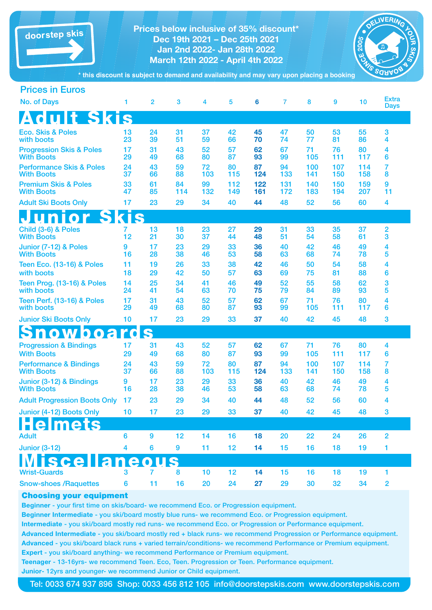

**Prices below inclusive of 35% discount\* Dec 19th 2021 – Dec 25th 2021 Jan 2nd 2022- Jan 28th 2022 March 12th 2022 - April 4th 2022**



**\* this discount is subject to demand and availability and may vary upon placing a booking**

| <b>Prices in Euros</b>                                   |                         |                |           |           |            |            |            |            |            |            |                             |
|----------------------------------------------------------|-------------------------|----------------|-----------|-----------|------------|------------|------------|------------|------------|------------|-----------------------------|
| <b>No. of Days</b>                                       | 1                       | $\overline{2}$ | 3         | 4         | 5          | 6          | 7          | 8          | 9          | 10         | <b>Extra</b><br><b>Days</b> |
| <b>Adult Skis</b>                                        |                         |                |           |           |            |            |            |            |            |            |                             |
| <b>Eco. Skis &amp; Poles</b><br>with boots               | 13<br>23                | 24<br>39       | 31<br>51  | 37<br>59  | 42<br>66   | 45<br>70   | 47<br>74   | 50<br>77   | 53<br>81   | 55<br>86   | 3<br>4                      |
| <b>Progression Skis &amp; Poles</b><br><b>With Boots</b> | 17<br>29                | 31<br>49       | 43<br>68  | 52<br>80  | 57<br>87   | 62<br>93   | 67<br>99   | 71<br>105  | 76<br>111  | 80<br>117  | 4<br>6                      |
| <b>Performance Skis &amp; Poles</b><br><b>With Boots</b> | 24<br>37                | 43<br>66       | 59<br>88  | 72<br>103 | 80<br>115  | 87<br>124  | 94<br>133  | 100<br>141 | 107<br>150 | 114<br>158 | 7<br>8                      |
| <b>Premium Skis &amp; Poles</b><br><b>With Boots</b>     | 33<br>47                | 61<br>85       | 84<br>114 | 99<br>132 | 112<br>149 | 122<br>161 | 131<br>172 | 140<br>183 | 150<br>194 | 159<br>207 | 9<br>11                     |
| <b>Adult Ski Boots Only</b>                              | 17                      | 23             | 29        | 34        | 40         | 44         | 48         | 52         | 56         | 60         | 4                           |
| unior Skis                                               |                         |                |           |           |            |            |            |            |            |            |                             |
| Child (3-6) & Poles<br><b>With Boots</b>                 | 7<br>12                 | 13<br>21       | 18<br>30  | 23<br>37  | 27<br>44   | 29<br>48   | 31<br>51   | 33<br>54   | 35<br>58   | 37<br>61   | 2<br>3                      |
| Junior (7-12) & Poles<br><b>With Boots</b>               | 9<br>16                 | 17<br>28       | 23<br>38  | 29<br>46  | 33<br>53   | 36<br>58   | 40<br>63   | 42<br>68   | 46<br>74   | 49<br>78   | 4<br>5                      |
| <b>Teen Eco. (13-16) &amp; Poles</b><br>with boots       | 11<br>18                | 19<br>29       | 26<br>42  | 33<br>50  | 38<br>57   | 42<br>63   | 46<br>69   | 50<br>75   | 54<br>81   | 58<br>88   | 4<br>6                      |
| Teen Prog. (13-16) & Poles<br>with boots                 | 14<br>24                | 25<br>41       | 34<br>54  | 41<br>63  | 46<br>70   | 49<br>75   | 52<br>79   | 55<br>84   | 58<br>89   | 62<br>93   | 3<br>5                      |
| <b>Teen Perf. (13-16) &amp; Poles</b><br>with boots      | 17<br>29                | 31<br>49       | 43<br>68  | 52<br>80  | 57<br>87   | 62<br>93   | 67<br>99   | 71<br>105  | 76<br>111  | 80<br>117  | 4<br>6                      |
| <b>Junior Ski Boots Only</b>                             | 10                      | 17             | 23        | 29        | 33         | 37         | 40         | 42         | 45         | 48         | 3                           |
| <b>Snowboard</b>                                         |                         | S              |           |           |            |            |            |            |            |            |                             |
| <b>Progression &amp; Bindings</b><br><b>With Boots</b>   | 17<br>29                | 31<br>49       | 43<br>68  | 52<br>80  | 57<br>87   | 62<br>93   | 67<br>99   | 71<br>105  | 76<br>111  | 80<br>117  | 4<br>6                      |
| <b>Performance &amp; Bindings</b><br><b>With Boots</b>   | 24<br>37                | 43<br>66       | 59<br>88  | 72<br>103 | 80<br>115  | 87<br>124  | 94<br>133  | 100<br>141 | 107<br>150 | 114<br>158 | 7<br>8                      |
| Junior (3-12) & Bindings<br><b>With Boots</b>            | 9<br>16                 | 17<br>28       | 23<br>38  | 29<br>46  | 33<br>53   | 36<br>58   | 40<br>63   | 42<br>68   | 46<br>74   | 49<br>78   | 4<br>5                      |
| <b>Adult Progression Boots Only</b>                      | 17                      | 23             | 29        | 34        | 40         | 44         | 48         | 52         | 56         | 60         | 4                           |
| Junior (4-12) Boots Only                                 | 10                      | 17             | 23        | 29        | 33         | 37         | 40         | 42         | 45         | 48         | $\mathbf{3}$                |
| mets                                                     |                         |                |           |           |            |            |            |            |            |            |                             |
| <b>Adult</b>                                             | 6                       | 9              | 12        | 14        | 16         | 18         | 20         | 22         | 24         | 26         | $\overline{2}$              |
| <b>Junior (3-12)</b>                                     | $\overline{\mathbf{4}}$ | $6\phantom{a}$ | 9         | 11        | 12         | 14         | 15         | 16         | 18         | 19         | 1                           |
|                                                          |                         |                |           |           |            |            |            |            |            |            |                             |
| <b>Wrist-Guards</b>                                      | 3                       | 7              | 8         | 10        | 12         | 14         | 15         | 16         | 18         | 19         | 1                           |
| <b>Snow-shoes /Raquettes</b>                             | $6\phantom{a}$          | 11             | 16        | 20        | 24         | 27         | 29         | 30         | 32         | 34         | $\overline{2}$              |

#### Choosing your equipment

Beginner - your first time on skis/board- we recommend Eco. or Progression equipment.

Beginner Intermediate - you ski/board mostly blue runs- we recommend Eco. or Progression equipment.

Intermediate - you ski/board mostly red runs- we recommend Eco. or Progression or Performance equipment.

Advanced Intermediate - you ski/board mostly red + black runs- we recommend Progression or Performance equipment. Advanced - you ski/board black runs + varied terrain/conditions- we recommend Performance or Premium equipment. Expert - you ski/board anything- we recommend Performance or Premium equipment.

Teenager - 13-16yrs- we recommend Teen. Eco, Teen. Progression or Teen. Performance equipment. Junior- 12yrs and younger- we recommend Junior or Child equipment.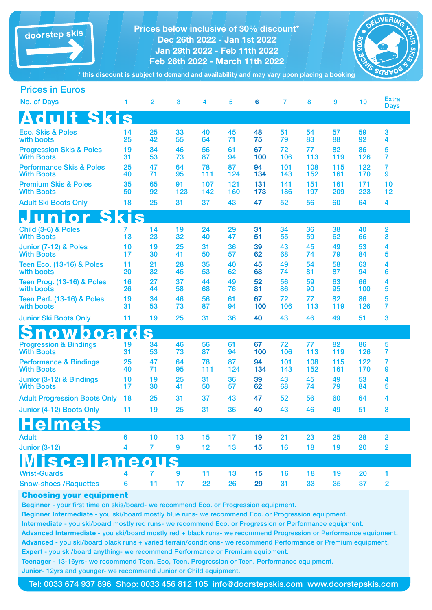| doorstep skis<br>* this discount is subject to demand and availability and may vary upon placing a booking | <b>Prices below inclusive of 30% discount*</b> | DELIVERING<br>n<br><b>DOTE</b><br><b>CE 2005</b><br>SINS<br>NO SARAOS |                  |            |            |            |            |            |            |            |                     |
|------------------------------------------------------------------------------------------------------------|------------------------------------------------|-----------------------------------------------------------------------|------------------|------------|------------|------------|------------|------------|------------|------------|---------------------|
|                                                                                                            |                                                |                                                                       |                  |            |            |            |            |            |            |            |                     |
| <b>Prices in Euros</b>                                                                                     |                                                |                                                                       |                  |            |            |            |            |            |            | 10         | <b>Extra</b>        |
| <b>No. of Days</b>                                                                                         | 1                                              | $\overline{2}$                                                        | 3                | 4          | 5          | 6          | 7          | 8          | 9          |            | <b>Days</b>         |
| <b>Adult Skis</b>                                                                                          |                                                |                                                                       |                  |            |            |            |            |            |            |            |                     |
| <b>Eco. Skis &amp; Poles</b><br>with boots                                                                 | 14<br>25                                       | 25<br>42                                                              | 33<br>55         | 40<br>64   | 45<br>71   | 48<br>75   | 51<br>79   | 54<br>83   | 57<br>88   | 59<br>92   | 3<br>4              |
| <b>Progression Skis &amp; Poles</b>                                                                        | 19                                             | 34                                                                    | 46               | 56         | 61         | 67         | 72         | 77         | 82         | 86         | 5                   |
| <b>With Boots</b><br><b>Performance Skis &amp; Poles</b>                                                   | 31<br>25                                       | 53<br>47                                                              | 73<br>64         | 87<br>78   | 94<br>87   | 100<br>94  | 106<br>101 | 113<br>108 | 119<br>115 | 126<br>122 | 7<br>7              |
| <b>With Boots</b>                                                                                          | 40                                             | 71                                                                    | 95               | 111        | 124        | 134        | 143        | 152        | 161        | 170        | 9                   |
| <b>Premium Skis &amp; Poles</b><br><b>With Boots</b>                                                       | 35<br>50                                       | 65<br>92                                                              | 91<br>123        | 107<br>142 | 121<br>160 | 131<br>173 | 141<br>186 | 151<br>197 | 161<br>209 | 171<br>223 | 10<br>12            |
| <b>Adult Ski Boots Only</b>                                                                                | 18                                             | 25                                                                    | 31               | 37         | 43         | 47         | 52         | 56         | 60         | 64         | 4                   |
| <b>Unior Skis</b>                                                                                          |                                                |                                                                       |                  |            |            |            |            |            |            |            |                     |
| Child (3-6) & Poles<br><b>With Boots</b>                                                                   | 7<br>13                                        | 14<br>23                                                              | 19<br>32         | 24<br>40   | 29<br>47   | 31<br>51   | 34<br>55   | 36<br>59   | 38<br>62   | 40<br>66   | 2<br>3              |
| Junior (7-12) & Poles<br><b>With Boots</b>                                                                 | 10<br>17                                       | 19<br>30                                                              | 25<br>41         | 31<br>50   | 36<br>57   | 39<br>62   | 43<br>68   | 45<br>74   | 49<br>79   | 53<br>84   | 4<br>5              |
| <b>Teen Eco. (13-16) &amp; Poles</b><br>with boots                                                         | 11<br>20                                       | 21<br>32                                                              | 28<br>45         | 35<br>53   | 40<br>62   | 45<br>68   | 49<br>74   | 54<br>81   | 58<br>87   | 63<br>94   | 4<br>6              |
| Teen Prog. (13-16) & Poles<br>with boots                                                                   | 16<br>26                                       | 27<br>44                                                              | 37<br>58         | 44<br>68   | 49<br>76   | 52<br>81   | 56<br>86   | 59<br>90   | 63<br>95   | 66<br>100  | 4<br>5              |
| Teen Perf. (13-16) & Poles<br>with boots                                                                   | 19<br>31                                       | 34<br>53                                                              | 46<br>73         | 56<br>87   | 61<br>94   | 67<br>100  | 72<br>106  | 77<br>113  | 82<br>119  | 86<br>126  | 5<br>7              |
| <b>Junior Ski Boots Only</b>                                                                               | 11                                             | 19                                                                    | 25               | 31         | 36         | 40         | 43         | 46         | 49         | 51         | 3                   |
| owboa                                                                                                      |                                                |                                                                       |                  |            |            |            |            |            |            |            |                     |
| <b>Progression &amp; Bindings</b><br><b>With Boots</b>                                                     | 19<br>31                                       | 34<br>53                                                              | 46<br>73         | 56<br>87   | 61<br>94   | 67<br>100  | 72<br>106  | 77<br>113  | 82<br>119  | 86<br>126  | 5<br>$\overline{7}$ |
| <b>Performance &amp; Bindings</b><br><b>With Boots</b>                                                     | 25<br>40                                       | 47<br>71                                                              | 64<br>95         | 78<br>111  | 87<br>124  | 94<br>134  | 101<br>143 | 108<br>152 | 115<br>161 | 122<br>170 | 7<br>9              |
| Junior (3-12) & Bindings<br><b>With Boots</b>                                                              | 10<br>17                                       | 19<br>30                                                              | 25<br>41         | 31<br>50   | 36<br>57   | 39<br>62   | 43<br>68   | 45<br>74   | 49<br>79   | 53<br>84   | 4<br>5              |
| <b>Adult Progression Boots Only</b>                                                                        | 18                                             | 25                                                                    | 31               | 37         | 43         | 47         | 52         | 56         | 60         | 64         | 4                   |
| Junior (4-12) Boots Only                                                                                   | 11                                             | 19                                                                    | 25               | 31         | 36         | 40         | 43         | 46         | 49         | 51         | 3                   |
| <u>Helmets</u>                                                                                             |                                                |                                                                       |                  |            |            |            |            |            |            |            |                     |
| <b>Adult</b>                                                                                               | 6                                              | 10                                                                    | 13               | 15         | 17         | 19         | 21         | 23         | 25         | 28         | 2                   |
| <b>Junior (3-12)</b>                                                                                       | 4                                              | $\overline{7}$                                                        | $\boldsymbol{9}$ | 12         | 13         | 15         | 16         | 18         | 19         | 20         | 2                   |
| <b>Miscellaneous</b>                                                                                       |                                                |                                                                       |                  |            |            |            |            |            |            |            |                     |
| <b>Wrist-Guards</b>                                                                                        | 4                                              | $\overline{7}$                                                        | 9                | 11         | 13         | 15         | 16         | 18         | 19         | 20         | 1                   |
| <b>Snow-shoes /Raquettes</b>                                                                               | 6                                              | 11                                                                    | 17               | 22         | 26         | 29         | 31         | 33         | 35         | 37         | $\overline{2}$      |

### Choosing your equipment

Beginner - your first time on skis/board- we recommend Eco. or Progression equipment.

Beginner Intermediate - you ski/board mostly blue runs- we recommend Eco. or Progression equipment.

Intermediate - you ski/board mostly red runs- we recommend Eco. or Progression or Performance equipment.

Advanced Intermediate - you ski/board mostly red + black runs- we recommend Progression or Performance equipment. Advanced - you ski/board black runs + varied terrain/conditions- we recommend Performance or Premium equipment. Expert - you ski/board anything- we recommend Performance or Premium equipment.

Teenager - 13-16yrs- we recommend Teen. Eco, Teen. Progression or Teen. Performance equipment. Junior- 12yrs and younger- we recommend Junior or Child equipment.

Tel: 0033 674 937 896 Shop: 0033 456 812 105 info@doorstepskis.com www.doorstepskis.com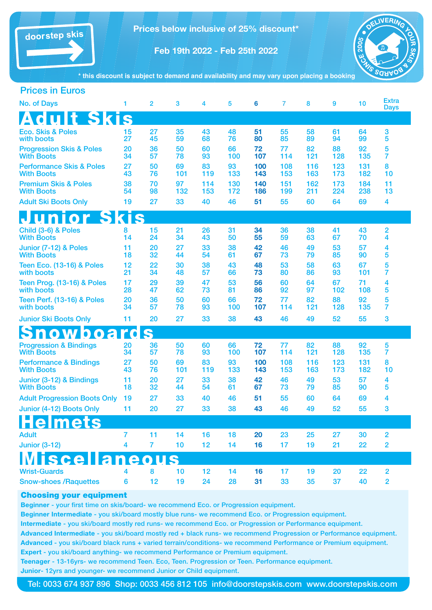

**Prices below inclusive of 25% discount\***

**Feb 19th 2022 - Feb 25th 2022**



**\* this discount is subject to demand and availability and may vary upon placing a booking**

| <b>Prices in Euros</b>                                   |          |                |           |            |            |            |            |            |            |            |                             |
|----------------------------------------------------------|----------|----------------|-----------|------------|------------|------------|------------|------------|------------|------------|-----------------------------|
| <b>No. of Days</b>                                       | 1        | $\overline{2}$ | 3         | 4          | 5          | 6          | 7          | 8          | 9          | 10         | <b>Extra</b><br><b>Days</b> |
| <b>Adult Skis</b>                                        |          |                |           |            |            |            |            |            |            |            |                             |
| <b>Eco. Skis &amp; Poles</b><br>with boots               | 15<br>27 | 27<br>45       | 35<br>59  | 43<br>68   | 48<br>76   | 51<br>80   | 55<br>85   | 58<br>89   | 61<br>94   | 64<br>99   | 3<br>5                      |
| <b>Progression Skis &amp; Poles</b><br><b>With Boots</b> | 20<br>34 | 36<br>57       | 50<br>78  | 60<br>93   | 66<br>100  | 72<br>107  | 77<br>114  | 82<br>121  | 88<br>128  | 92<br>135  | 5<br>7                      |
| <b>Performance Skis &amp; Poles</b><br><b>With Boots</b> | 27<br>43 | 50<br>76       | 69<br>101 | 83<br>119  | 93<br>133  | 100<br>143 | 108<br>153 | 116<br>163 | 123<br>173 | 131<br>182 | 8<br>10                     |
| <b>Premium Skis &amp; Poles</b><br><b>With Boots</b>     | 38<br>54 | 70<br>98       | 97<br>132 | 114<br>153 | 130<br>172 | 140<br>186 | 151<br>199 | 162<br>211 | 173<br>224 | 184<br>238 | 11<br>13                    |
| <b>Adult Ski Boots Only</b>                              | 19       | 27             | 33        | 40         | 46         | 51         | 55         | 60         | 64         | 69         | 4                           |
| <b>unior Skis</b>                                        |          |                |           |            |            |            |            |            |            |            |                             |
| Child (3-6) & Poles<br><b>With Boots</b>                 | 8<br>14  | 15<br>24       | 21<br>34  | 26<br>43   | 31<br>50   | 34<br>55   | 36<br>59   | 38<br>63   | 41<br>67   | 43<br>70   | 2<br>4                      |
| Junior (7-12) & Poles<br><b>With Boots</b>               | 11<br>18 | 20<br>32       | 27<br>44  | 33<br>54   | 38<br>61   | 42<br>67   | 46<br>73   | 49<br>79   | 53<br>85   | 57<br>90   | 4<br>5                      |
| <b>Teen Eco. (13-16) &amp; Poles</b><br>with boots       | 12<br>21 | 22<br>34       | 30<br>48  | 38<br>57   | 43<br>66   | 48<br>73   | 53<br>80   | 58<br>86   | 63<br>93   | 67<br>101  | 5<br>7                      |
| Teen Prog. (13-16) & Poles<br>with boots                 | 17<br>28 | 29<br>47       | 39<br>62  | 47<br>73   | 53<br>81   | 56<br>86   | 60<br>92   | 64<br>97   | 67<br>102  | 71<br>108  | 4<br>5                      |
| <b>Teen Perf. (13-16) &amp; Poles</b><br>with boots      | 20<br>34 | 36<br>57       | 50<br>78  | 60<br>93   | 66<br>100  | 72<br>107  | 77<br>114  | 82<br>121  | 88<br>128  | 92<br>135  | 5<br>7                      |
| <b>Junior Ski Boots Only</b>                             | 11       | 20             | 27        | 33         | 38         | 43         | 46         | 49         | 52         | 55         | 3                           |
| nowboard                                                 |          | I S            |           |            |            |            |            |            |            |            |                             |
| <b>Progression &amp; Bindings</b><br><b>With Boots</b>   | 20<br>34 | 36<br>57       | 50<br>78  | 60<br>93   | 66<br>100  | 72<br>107  | 77<br>114  | 82<br>121  | 88<br>128  | 92<br>135  | 5<br>7                      |
| <b>Performance &amp; Bindings</b><br><b>With Boots</b>   | 27<br>43 | 50<br>76       | 69<br>101 | 83<br>119  | 93<br>133  | 100<br>143 | 108<br>153 | 116<br>163 | 123<br>173 | 131<br>182 | 8<br>10                     |
| Junior (3-12) & Bindings<br><b>With Boots</b>            | 11<br>18 | 20<br>32       | 27<br>44  | 33<br>54   | 38<br>61   | 42<br>67   | 46<br>73   | 49<br>79   | 53<br>85   | 57<br>90   | 4<br>5                      |
| <b>Adult Progression Boots Only</b>                      | 19       | 27             | 33        | 40         | 46         | 51         | 55         | 60         | 64         | 69         | 4                           |
| Junior (4-12) Boots Only                                 | 11       | 20             | 27        | 33         | 38         | 43         | 46         | 49         | 52         | 55         | 3                           |
| elmets                                                   |          |                |           |            |            |            |            |            |            |            |                             |
| <b>Adult</b>                                             | 7        | 11             | 14        | 16         | 18         | 20         | 23         | 25         | 27         | 30         | 2                           |
| <b>Junior (3-12)</b>                                     | 4        | $\overline{7}$ | 10        | 12         | 14         | 16         | 17         | 19         | 21         | 22         | 2                           |
| scellaneous                                              |          |                |           |            |            |            |            |            |            |            |                             |
| <b>Wrist-Guards</b>                                      |          | 8              | 10        | 12         | 14         | 16         | 17         | 19         | 20         | 22         | $\overline{2}$              |
| <b>Snow-shoes / Raquettes</b>                            | 6        | 12             | 19        | 24         | 28         | 31         | 33         | 35         | 37         | 40         | $\overline{2}$              |

#### Choosing your equipment

Beginner - your first time on skis/board- we recommend Eco. or Progression equipment.

Beginner Intermediate - you ski/board mostly blue runs- we recommend Eco. or Progression equipment.

Intermediate - you ski/board mostly red runs- we recommend Eco. or Progression or Performance equipment.

Advanced Intermediate - you ski/board mostly red + black runs- we recommend Progression or Performance equipment. Advanced - you ski/board black runs + varied terrain/conditions- we recommend Performance or Premium equipment.

Expert - you ski/board anything- we recommend Performance or Premium equipment.

Teenager - 13-16yrs- we recommend Teen. Eco, Teen. Progression or Teen. Performance equipment. Junior- 12yrs and younger- we recommend Junior or Child equipment.